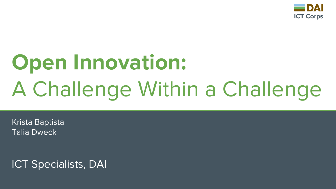

## **Open Innovation:** A Challenge Within a Challenge

Krista Baptista Talia Dweck

ICT Specialists, DAI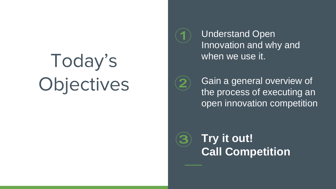## Today's Objectives

Understand Open Innovation and why and when we use it.



Gain a general overview of the process of executing an open innovation competition

**Try it out! Call Competition**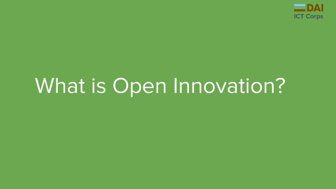

### What is Open Innovation?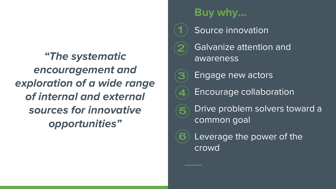*"The systematic encouragement and exploration of a wide range of internal and external sources for innovative opportunities"*

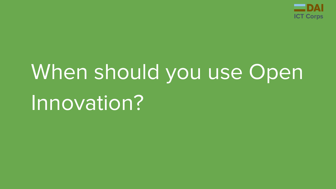

# When should you use Open Innovation?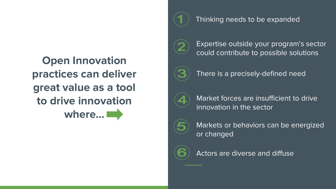**Open Innovation practices can deliver great value as a tool to drive innovation where…**



Thinking needs to be expanded



Expertise outside your program's sector could contribute to possible solutions



There is a precisely-defined need



Market forces are insufficient to drive innovation in the sector



Markets or behaviors can be energized or changed



Actors are diverse and diffuse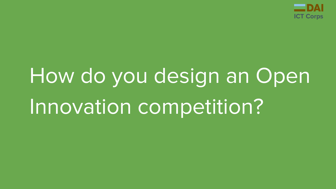

# How do you design an Open Innovation competition?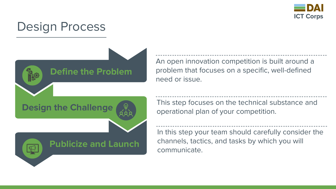

#### Design Process



An open innovation competition is built around a problem that focuses on a specific, well-defined need or issue.

This step focuses on the technical substance and operational plan of your competition.

In this step your team should carefully consider the channels, tactics, and tasks by which you will communicate.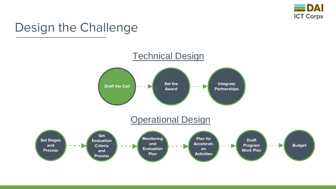

#### Design the Challenge

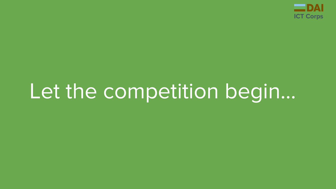

## Let the competition begin…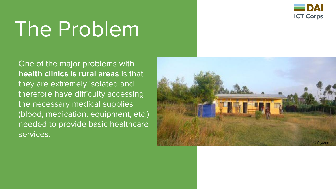

## The Problem

One of the major problems with **health clinics is rural areas** is that they are extremely isolated and therefore have difficulty accessing the necessary medical supplies (blood, medication, equipment, etc.) needed to provide basic healthcare services.

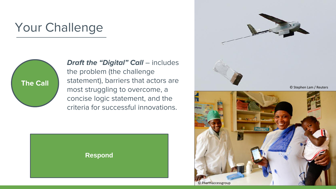#### Your Challenge



*Draft the "Digital" Call – includes* the problem (the challenge statement), barriers that actors are most struggling to overcome, a concise logic statement, and the criteria for successful innovations.